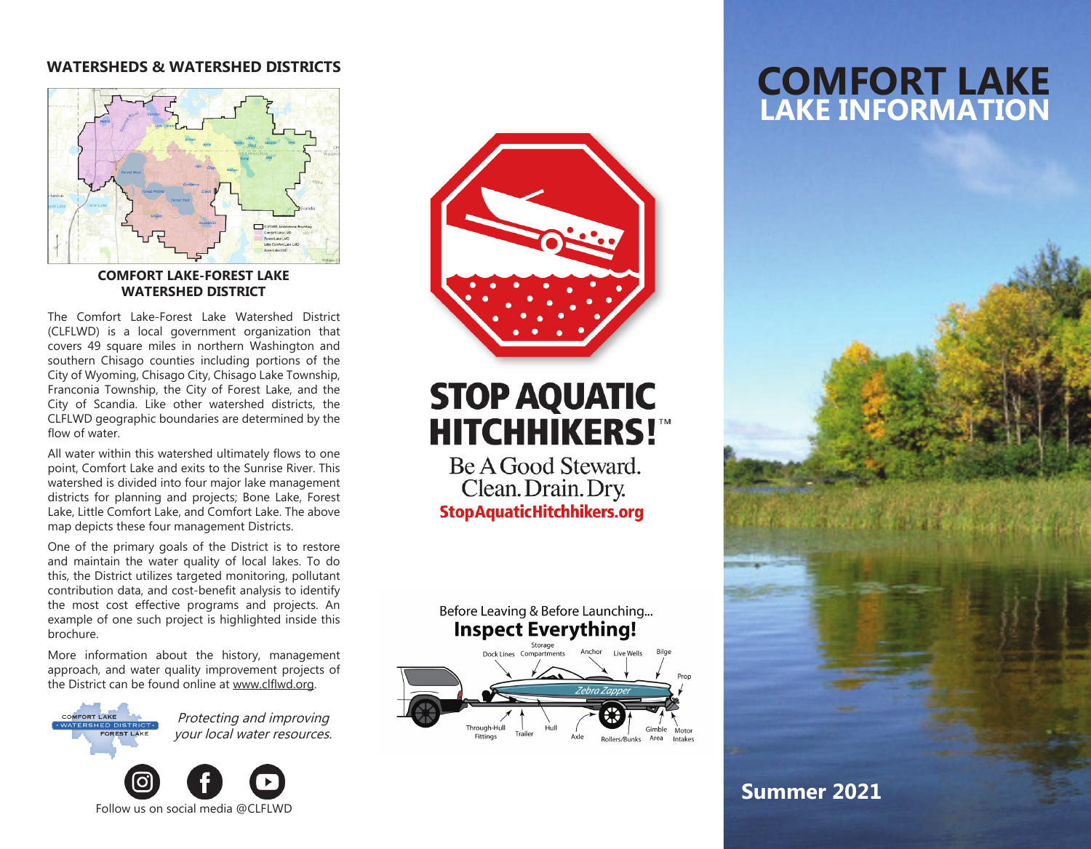### **WATERSHEDS & WATERSHED DISTRICTS**



#### **COMFORT LAKE-FOREST LAKE WATERSHED DISTRICT**

The Comfort Lake-Forest Lake Watershed District (CLFLWD) is a local government organization that covers 49 square miles in northern Washington and southern Chisago counties including portions of the City of Wyoming, Chisago City, Chisago Lake Township, Franconia Township, the City of Forest Lake, and the City of Scandia. Like other watershed districts, the CLFLWD geographic boundaries are determined by the flow of water.

All water within this watershed ultimately flows to one point, Comfort Lake and exits to the Sunrise River. This watershed is divided into four major lake management districts for planning and projects; Bone Lake, Forest Lake, Little Comfort Lake, and Comfort Lake. The above map depicts these four management Districts.

One of the primary goals of the District is to restore and maintain the water quality of local lakes. To do this, the District utilizes targeted monitoring, pollutant contribution data, and cost-benefit analysis to identify the most cost effective programs and projects. An example of one such project is highlighted inside this brochure.

More information about the history, management approach, and water quality improvement projects of the District can be found online at www.clflwd.org.



Protecting and improving your local water resources.





# **STOP AQUATIC HITCHHIKERS!"**

Be A Good Steward. Clean. Drain. Dry. **StopAquaticHitchhikers.org** 



Before Leaving & Before Launching...

## **COMFORT LAKE LAKE INFORMATION**